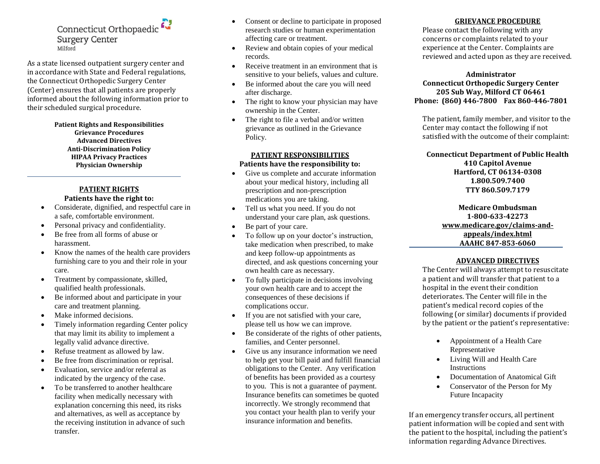Connecticut Orthopaedic **Surgery Center** Milford

As a state licensed outpatient surgery center and in accordance with State and Federal regulations, the Connecticut Orthopedic Surgery Center (Center) ensures that all patients are properly informed about the following information prior to their scheduled surgical procedure.

> **Patient Rights and Responsibilities Grievance Procedures Advanced Directives Anti-Discrimination Policy HIPAA Privacy Practices Physician Ownership**

# **PATIENT RIGHTS Patients have the right to:**

- Considerate, dignified, and respectful care in a safe, comfortable environment.
- Personal privacy and confidentiality.
- Be free from all forms of abuse or harassment.
- Know the names of the health care providers furnishing care to you and their role in your care.
- Treatment by compassionate, skilled, qualified health professionals.
- Be informed about and participate in your care and treatment planning.
- Make informed decisions.
- Timely information regarding Center policy that may limit its ability to implement a legally valid advance directive.
- Refuse treatment as allowed by law.
- Be free from discrimination or reprisal.
- Evaluation, service and/or referral as indicated by the urgency of the case.
- To be transferred to another healthcare facility when medically necessary with explanation concerning this need, its risks and alternatives, as well as acceptance by the receiving institution in advance of such transfer.
- Consent or decline to participate in proposed research studies or human experimentation affecting care or treatment.
- Review and obtain copies of your medical records.
- Receive treatment in an environment that is sensitive to your beliefs, values and culture.
- Be informed about the care you will need after discharge.
- The right to know your physician may have ownership in the Center.
- The right to file a verbal and/or written grievance as outlined in the Grievance Policy.

### **PATIENT RESPONSIBILITIES Patients have the responsibility to:**

- Give us complete and accurate information about your medical history, including all prescription and non-prescription medications you are taking.
- Tell us what you need. If you do not understand your care plan, ask questions.
- Be part of your care.
- To follow up on your doctor's instruction, take medication when prescribed, to make and keep follow-up appointments as directed, and ask questions concerning your own health care as necessary.
- To fully participate in decisions involving your own health care and to accept the consequences of these decisions if complications occur.
- If you are not satisfied with your care, please tell us how we can improve.
- Be considerate of the rights of other patients, families, and Center personnel.
- Give us any insurance information we need to help get your bill paid and fulfill financial obligations to the Center. Any verification of benefits has been provided as a courtesy to you. This is not a guarantee of payment. Insurance benefits can sometimes be quoted incorrectly. We strongly recommend that you contact your health plan to verify your insurance information and benefits.

## **GRIEVANCE PROCEDURE**

Please contact the following with any concerns or complaints related to your experience at the Center. Complaints are reviewed and acted upon as they are received.

#### **Administrator**

## **Connecticut Orthopedic Surgery Center 205 Sub Way, Milford CT 06461 Phone: (860) 446-7800 Fax 860-446-7801**

The patient, family member, and visitor to the Center may contact the following if not satisfied with the outcome of their complaint:

**Connecticut Department of Public Health 410 Capitol Avenue Hartford, CT 06134-0308 1.800.509.7400 TTY 860.509.7179**

> **Medicare Ombudsman 1-800-633-42273 [www.medicare.gov/claims-and](http://www.medicare.gov/claims-and-appeals/index.html)[appeals/index.html](http://www.medicare.gov/claims-and-appeals/index.html) AAAHC 847-853-6060**

## **ADVANCED DIRECTIVES**

The Center will always attempt to resuscitate a patient and will transfer that patient to a hospital in the event their condition deteriorates. The Center will file in the patient's medical record copies of the following (or similar) documents if provided by the patient or the patient's representative:

- Appointment of a Health Care Representative
- Living Will and Health Care **Instructions**
- Documentation of Anatomical Gift
- Conservator of the Person for My Future Incapacity

If an emergency transfer occurs, all pertinent patient information will be copied and sent with the patient to the hospital, including the patient's information regarding Advance Directives.